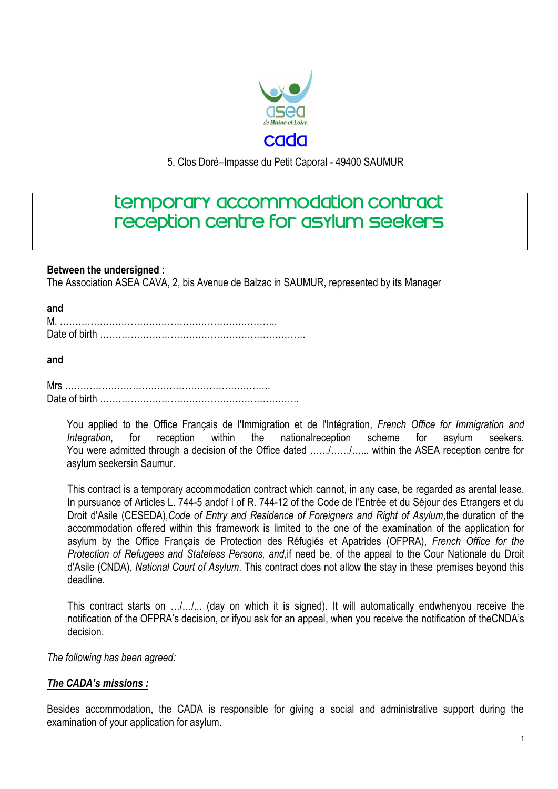

5, Clos Doré–Impasse du Petit Caporal - 49400 SAUMUR

# temporary accommodation contract reception centre for asylum seekers

#### **Between the undersigned :**

The Association ASEA CAVA, 2, bis Avenue de Balzac in SAUMUR, represented by its Manager

| I<br>v | . .<br>. . |
|--------|------------|
|        |            |

#### **and**

You applied to the Office Français de l'Immigration et de l'Intégration, *French Office for Immigration and Integration*, for reception within the nationalreception scheme for asylum seekers. You were admitted through a decision of the Office dated ……/……/…... within the ASEA reception centre for asylum seekersin Saumur.

This contract is a temporary accommodation contract which cannot, in any case, be regarded as arental lease. In pursuance of Articles L. 744-5 andof I of R. 744-12 of the [Code de l'Entrée et du Séjour des Etrangers et du](http://www.legifrance.gouv.fr/affichCode.do?cidTexte=LEGITEXT000006070158&dateTexte=&categorieLien=cid)  [Droit d'Asile](http://www.legifrance.gouv.fr/affichCode.do?cidTexte=LEGITEXT000006070158&dateTexte=&categorieLien=cid) (CESEDA),*[Code of Entry and Residence of Foreigners and Right of Asylum,](http://www.legifrance.gouv.fr/affichCodeArticle.do;jsessionid=F79FC4944386E3F270EF0000ECA58375.tpdila23v_3?cidTexte=LEGITEXT000006070158&idArticle=LEGIARTI000030952367&dateTexte=&categorieLien=cid)*the duration of the accommodation offered within this framework is limited to the one of the examination of the application for asylum by the Office Français de Protection des Réfugiés et Apatrides (OFPRA), *French Office for the Protection of Refugees and Stateless Persons, and,*if need be, of the appeal to the Cour Nationale du Droit d'Asile (CNDA), *National Court of Asylum*. This contract does not allow the stay in these premises beyond this deadline.

This contract starts on …/…/... (day on which it is signed). It will automatically endwhenyou receive the notification of the OFPRA's decision, or ifyou ask for an appeal, when you receive the notification of theCNDA's decision.

*The following has been agreed:*

### *The CADA's missions :*

Besides accommodation, the CADA is responsible for giving a social and administrative support during the examination of your application for asylum.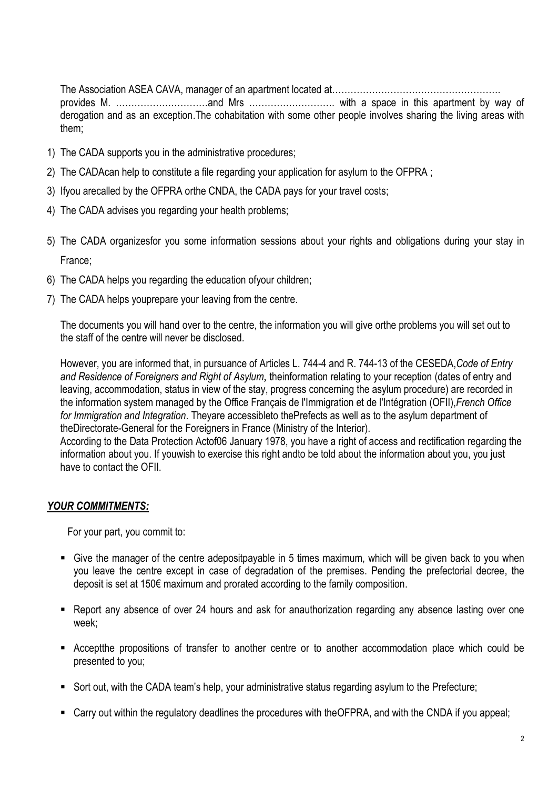The Association ASEA CAVA, manager of an apartment located at……………………………………………….

provides M. …………………………and Mrs ………………………. with a space in this apartment by way of derogation and as an exception.The cohabitation with some other people involves sharing the living areas with them;

- 1) The CADA supports you in the administrative procedures;
- 2) The CADAcan help to constitute a file regarding your application for asylum to the OFPRA ;
- 3) Ifyou arecalled by the OFPRA orthe CNDA, the CADA pays for your travel costs;
- 4) The CADA advises you regarding your health problems;
- 5) The CADA organizesfor you some information sessions about your rights and obligations during your stay in France;
- 6) The CADA helps you regarding the education ofyour children;
- 7) The CADA helps youprepare your leaving from the centre.

The documents you will hand over to the centre, the information you will give orthe problems you will set out to the staff of the centre will never be disclosed.

However, you are informed that, in pursuance of Articles L. 744-4 and R. 744-13 of the CESEDA,*[Code of Entry](http://www.legifrance.gouv.fr/affichCodeArticle.do;jsessionid=F79FC4944386E3F270EF0000ECA58375.tpdila23v_3?cidTexte=LEGITEXT000006070158&idArticle=LEGIARTI000030952367&dateTexte=&categorieLien=cid)  [and Residence of Foreigners and Right of Asylum](http://www.legifrance.gouv.fr/affichCodeArticle.do;jsessionid=F79FC4944386E3F270EF0000ECA58375.tpdila23v_3?cidTexte=LEGITEXT000006070158&idArticle=LEGIARTI000030952367&dateTexte=&categorieLien=cid)*, theinformation relating to your reception (dates of entry and leaving, accommodation, status in view of the stay, progress concerning the asylum procedure) are recorded in the information system managed by the Office Français de l'Immigration et de l'Intégration (OFII),*French Office for Immigration and Integration*. Theyare accessibleto thePrefects as well as to the asylum department of theDirectorate-General for the Foreigners in France (Ministry of the Interior).

According to the Data Protection Actof06 January 1978, you have a right of access and rectification regarding the information about you. If youwish to exercise this right andto be told about the information about you, you just have to contact the OFII.

## *YOUR COMMITMENTS:*

For your part, you commit to:

- Give the manager of the centre adepositpayable in 5 times maximum, which will be given back to you when you leave the centre except in case of degradation of the premises. Pending the prefectorial decree, the deposit is set at 150€ maximum and prorated according to the family composition.
- Report any absence of over 24 hours and ask for anauthorization regarding any absence lasting over one week;
- Acceptthe propositions of transfer to another centre or to another accommodation place which could be presented to you;
- Sort out, with the CADA team's help, your administrative status regarding asylum to the Prefecture;
- Carry out within the regulatory deadlines the procedures with theOFPRA, and with the CNDA if you appeal;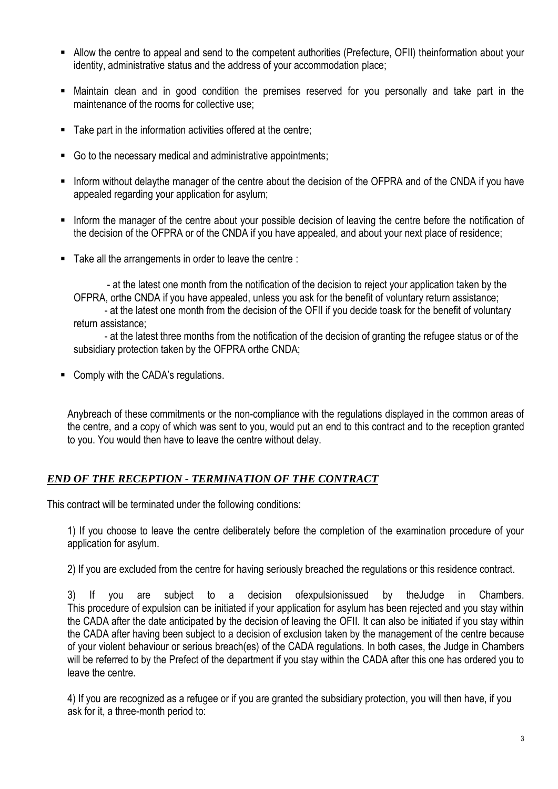- Allow the centre to appeal and send to the competent authorities (Prefecture, OFII) theinformation about your identity, administrative status and the address of your accommodation place;
- Maintain clean and in good condition the premises reserved for you personally and take part in the maintenance of the rooms for collective use;
- Take part in the information activities offered at the centre:
- Go to the necessary medical and administrative appointments;
- Inform without delaythe manager of the centre about the decision of the OFPRA and of the CNDA if you have appealed regarding your application for asylum;
- Inform the manager of the centre about your possible decision of leaving the centre before the notification of the decision of the OFPRA or of the CNDA if you have appealed, and about your next place of residence;
- Take all the arrangements in order to leave the centre :

 - at the latest one month from the notification of the decision to reject your application taken by the OFPRA, orthe CNDA if you have appealed, unless you ask for the benefit of voluntary return assistance; - at the latest one month from the decision of the OFII if you decide toask for the benefit of voluntary return assistance;

 - at the latest three months from the notification of the decision of granting the refugee status or of the subsidiary protection taken by the OFPRA orthe CNDA;

**Comply with the CADA's regulations.** 

Anybreach of these commitments or the non-compliance with the regulations displayed in the common areas of the centre, and a copy of which was sent to you, would put an end to this contract and to the reception granted to you. You would then have to leave the centre without delay.

## *END OF THE RECEPTION - TERMINATION OF THE CONTRACT*

This contract will be terminated under the following conditions:

1) If you choose to leave the centre deliberately before the completion of the examination procedure of your application for asylum.

2) If you are excluded from the centre for having seriously breached the regulations or this residence contract.

3) If you are subject to a decision ofexpulsionissued by theJudge in Chambers. This procedure of expulsion can be initiated if your application for asylum has been rejected and you stay within the CADA after the date anticipated by the decision of leaving the OFII. It can also be initiated if you stay within the CADA after having been subject to a decision of exclusion taken by the management of the centre because of your violent behaviour or serious breach(es) of the CADA regulations. In both cases, the Judge in Chambers will be referred to by the Prefect of the department if you stay within the CADA after this one has ordered you to leave the centre.

4) If you are recognized as a refugee or if you are granted the subsidiary protection, you will then have, if you ask for it, a three-month period to: